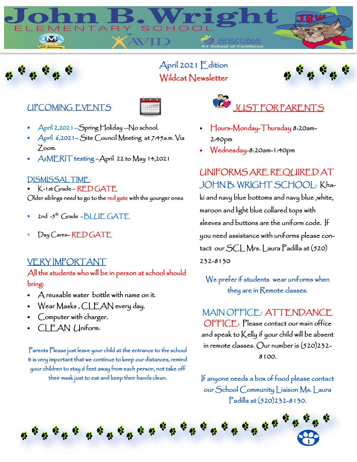



## April 2021 Edition Wildcat Newsletter



## UPCOMING EVENTS



- April 2,2021—Spring Holiday —No school.
- April 6,2021– Site Council Meeting at 7:45a.m. Via Zoom.
- AzMERIT testing –April 22 to May 14,2021

### DISMISSAL TIME:

• K-1st Grade - RED GATE Older siblings need to go to the red gate with the younger ones.

- 2nd  $-5^{\text{th}}$  Grade  $-BLUE$  GATE
- Day Cares-RED GATE

### VERY IMPORTANT

All the students who will be in person at school should bring:

- A reusable water bottle with name on it.
- Wear Masks , CLEAN every day.
- Computer with charger.
- CLEAN Uniform**.**

Parents Please just leave your child at the entrance to the school it is very important that we continue to keep our distances, remind your children to stay 6 feet away from each person, not take off their mask just to eat and keep their hands clean.



- Hours-Monday-Thursday 8:20am-2:40pm
- Wednesday-8:20am-1:40pm

# UNIFORMS ARE REQUIRED AT JOHN B. WRIGHT SCHOOL: Kha-

ki and navy blue bottoms and navy blue ,white, maroon and light blue collared tops with sleeves and buttons are the uniform code. If you need assistance with uniforms please contact our SCL Mrs. Laura Padilla at (520) 232-8130

We prefer if students wear uniforms when they are in Remote classes.

MAIN OFFICE: ATTENDANCE OFFICE: Please contact our main office and speak to Kelly if your child will be absent in remote classes. Our number is (520)232- 8100.

If anyone needs a box of food please contact our School Community Liaison Ms. Laura Padilla at (520)232-8130.

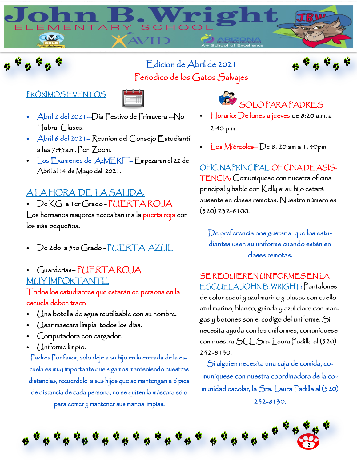# Edicion de Abril de 2021 Periodico de los Gatos Salvajes

 $SCHOC$ 



## PRÓXIMOS EVENTOS

ELEMENTAR

M



- Abril 2 del 2021—Dia Festivo de Primavera —No Habra Clases.
- Abril 6 del 2021– Reunion del Consejo Estudiantil a las 7:45a.m. Por Zoom.
- Los Examenes de AzMERIT– Empezaran el 22 de Abril al 14 de Mayo del 2021.

## A LA HORA DE LA SALIDA:

• De KG a 1er Grado-PUERTA ROJA

Los hermanos mayores necesitan ir a la puerta roja con los más pequeños.

- De 2do a 5to Grado PUERTA AZUL
- Guarderías– PUERTA ROJA MUY IMPORTANTE

Todos los estudiantes que estarán en persona en la escuela deben traer:

- Una botella de agua reutilizable con su nombre.
- Usar mascara limpia todos los días.
- Computadora con cargador.
- Uniforme limpio.

Padres Por favor, solo deje a su hijo en la entrada de la escuela es muy importante que sigamos manteniendo nuestras distancias, recuerdele a sus hijos que se mantengan a 6 pies de distancia de cada persona, no se quiten la máscara sólo para comer y mantener sus manos limpias.

**SOLO PARA PADRES** • Horario: De lunes a jueves de 8:20 a.m. a

2:40 p.m.

Los Miércoles-De 8: 20 am a 1: 40pm

OFICINA PRINCIPAL: OFICINA DE ASIS-TENCIA: Comuníquese con nuestra oficina principal y hable con Kelly si su hijo estará ausente en clases remotas. Nuestro número es (520) 232-8100.

De preferencia nos gustaria que los estudiantes usen su uniforme cuando estén en clases remotas.

SE REQUIEREN UNIFORMES EN LA ESCUELA JOHN B. WRIGHT: Pantalones de color caqui y azul marino y blusas con cuello azul marino, blanco, guinda y azul claro con mangas y botones son el código del uniforme. Si necesita ayuda con los uniformes, comuníquese con nuestra SCL Sra. Laura Padilla al (520)

232-8130.

Si alguien necesita una caja de comida, comuníquese con nuestra coordinadora de la comunidad escolar, la Sra. Laura Padilla al (520) 232-8130.

 $\boldsymbol{a}^{\text{t}}$  ,  $\boldsymbol{c}^{\text{t}}$  $\mathbf{a}^{\prime}$  $\mathbf{a}^{\prime}$  $\mathbf{a}^{\prime}$ **2**